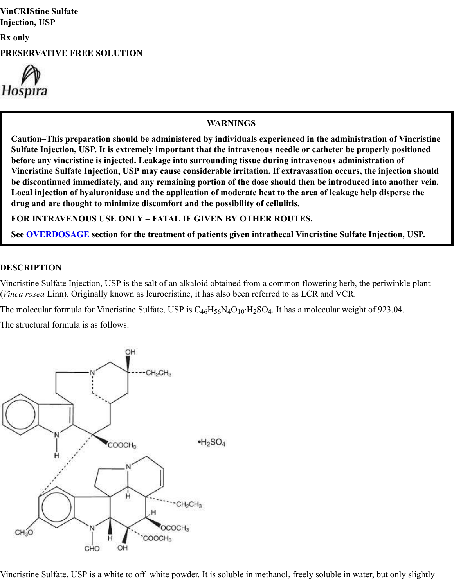**VinCRIStine Sulfate Injection, USP**

**Rx only**

**PRESERVATIVE FREE SOLUTION**



#### **WARNINGS**

**Caution–This preparation should be administered by individuals experienced in the administration of Vincristine Sulfate Injection, USP. It is extremely important that the intravenous needle or catheter be properly positioned before any vincristine is injected. Leakage into surrounding tissue during intravenous administration of Vincristine Sulfate Injection, USP may cause considerable irritation. If extravasation occurs, the injection should be discontinued immediately, and any remaining portion of the dose should then be introduced into another vein. Local injection of hyaluronidase and the application of moderate heat to the area of leakage help disperse the drug and are thought to minimize discomfort and the possibility of cellulitis.**

**FOR INTRAVENOUS USE ONLY – FATAL IF GIVEN BY OTHER ROUTES.**

**See OVERDOSAGE section for the treatment of patients given intrathecal Vincristine Sulfate Injection, USP.**

#### **DESCRIPTION**

Vincristine Sulfate Injection, USP is the salt of an alkaloid obtained from a common flowering herb, the periwinkle plant (*Vinca rosea* Linn). Originally known as leurocristine, it has also been referred to as LCR and VCR.

The molecular formula for Vincristine Sulfate, USP is  $C_{46}H_{56}N_4O_{10}H_2SO_4$ . It has a molecular weight of 923.04.

The structural formula is as follows:



Vincristine Sulfate, USP is a white to off–white powder. It is soluble in methanol, freely soluble in water, but only slightly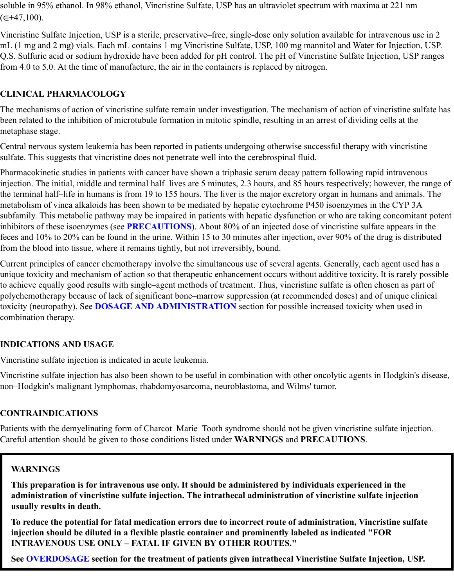soluble in 95% ethanol. In 98% ethanol, Vincristine Sulfate, USP has an ultraviolet spectrum with maxima at 221 nm  $(\in \neq 47,100)$ .

Vincristine Sulfate Injection, USP is a sterile, preservative–free, single-dose only solution available for intravenous use in 2 mL (1 mg and 2 mg) vials. Each mL contains 1 mg Vincristine Sulfate, USP, 100 mg mannitol and Water for Injection, USP. Q.S. Sulfuric acid or sodium hydroxide have been added for pH control. The pH of Vincristine Sulfate Injection, USP ranges from 4.0 to 5.0. At the time of manufacture, the air in the containers is replaced by nitrogen.

# **CLINICAL PHARMACOLOGY**

The mechanisms of action of vincristine sulfate remain under investigation. The mechanism of action of vincristine sulfate has been related to the inhibition of microtubule formation in mitotic spindle, resulting in an arrest of dividing cells at the metaphase stage.

Central nervous system leukemia has been reported in patients undergoing otherwise successful therapy with vincristine sulfate. This suggests that vincristine does not penetrate well into the cerebrospinal fluid.

Pharmacokinetic studies in patients with cancer have shown a triphasic serum decay pattern following rapid intravenous injection. The initial, middle and terminal half–lives are 5 minutes, 2.3 hours, and 85 hours respectively; however, the range of the terminal half–life in humans is from 19 to 155 hours. The liver is the major excretory organ in humans and animals. The metabolism of vinca alkaloids has been shown to be mediated by hepatic cytochrome P450 isoenzymes in the CYP 3A subfamily. This metabolic pathway may be impaired in patients with hepatic dysfunction or who are taking concomitant potent inhibitors of these isoenzymes (see **PRECAUTIONS**). About 80% of an injected dose of vincristine sulfate appears in the feces and 10% to 20% can be found in the urine. Within 15 to 30 minutes after injection, over 90% of the drug is distributed from the blood into tissue, where it remains tightly, but not irreversibly, bound.

Current principles of cancer chemotherapy involve the simultaneous use of several agents. Generally, each agent used has a unique toxicity and mechanism of action so that therapeutic enhancement occurs without additive toxicity. It is rarely possible to achieve equally good results with single–agent methods of treatment. Thus, vincristine sulfate is often chosen as part of polychemotherapy because of lack of significant bone–marrow suppression (at recommended doses) and of unique clinical toxicity (neuropathy). See **DOSAGE AND ADMINISTRATION** section for possible increased toxicity when used in combination therapy.

# **INDICATIONS AND USAGE**

Vincristine sulfate injection is indicated in acute leukemia.

Vincristine sulfate injection has also been shown to be useful in combination with other oncolytic agents in Hodgkin's disease, non–Hodgkin's malignant lymphomas, rhabdomyosarcoma, neuroblastoma, and Wilms' tumor.

#### **CONTRAINDICATIONS**

Patients with the demyelinating form of Charcot–Marie–Tooth syndrome should not be given vincristine sulfate injection. Careful attention should be given to those conditions listed under **WARNINGS** and **PRECAUTIONS**.

#### **WARNINGS**

**This preparation is for intravenous use only. It should be administered by individuals experienced in the administration of vincristine sulfate injection. The intrathecal administration of vincristine sulfate injection usually results in death.**

**To reduce the potential for fatal medication errors due to incorrect route of administration, Vincristine sulfate injection should be diluted in a flexible plastic container and prominently labeled as indicated "FOR INTRAVENOUS USE ONLY – FATAL IF GIVEN BY OTHER ROUTES."**

**See OVERDOSAGE section for the treatment of patients given intrathecal Vincristine Sulfate Injection, USP.**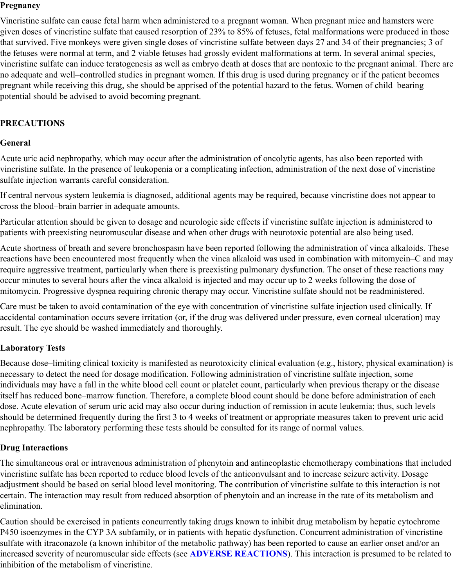#### **Pregnancy**

Vincristine sulfate can cause fetal harm when administered to a pregnant woman. When pregnant mice and hamsters were given doses of vincristine sulfate that caused resorption of 23% to 85% of fetuses, fetal malformations were produced in those that survived. Five monkeys were given single doses of vincristine sulfate between days 27 and 34 of their pregnancies; 3 of the fetuses were normal at term, and 2 viable fetuses had grossly evident malformations at term. In several animal species, vincristine sulfate can induce teratogenesis as well as embryo death at doses that are nontoxic to the pregnant animal. There are no adequate and well–controlled studies in pregnant women. If this drug is used during pregnancy or if the patient becomes pregnant while receiving this drug, she should be apprised of the potential hazard to the fetus. Women of child–bearing potential should be advised to avoid becoming pregnant.

# **PRECAUTIONS**

### **General**

Acute uric acid nephropathy, which may occur after the administration of oncolytic agents, has also been reported with vincristine sulfate. In the presence of leukopenia or a complicating infection, administration of the next dose of vincristine sulfate injection warrants careful consideration.

If central nervous system leukemia is diagnosed, additional agents may be required, because vincristine does not appear to cross the blood–brain barrier in adequate amounts.

Particular attention should be given to dosage and neurologic side effects if vincristine sulfate injection is administered to patients with preexisting neuromuscular disease and when other drugs with neurotoxic potential are also being used.

Acute shortness of breath and severe bronchospasm have been reported following the administration of vinca alkaloids. These reactions have been encountered most frequently when the vinca alkaloid was used in combination with mitomycin–C and may require aggressive treatment, particularly when there is preexisting pulmonary dysfunction. The onset of these reactions may occur minutes to several hours after the vinca alkaloid is injected and may occur up to 2 weeks following the dose of mitomycin. Progressive dyspnea requiring chronic therapy may occur. Vincristine sulfate should not be readministered.

Care must be taken to avoid contamination of the eye with concentration of vincristine sulfate injection used clinically. If accidental contamination occurs severe irritation (or, if the drug was delivered under pressure, even corneal ulceration) may result. The eye should be washed immediately and thoroughly.

# **Laboratory Tests**

Because dose–limiting clinical toxicity is manifested as neurotoxicity clinical evaluation (e.g., history, physical examination) is necessary to detect the need for dosage modification. Following administration of vincristine sulfate injection, some individuals may have a fall in the white blood cell count or platelet count, particularly when previous therapy or the disease itself has reduced bone–marrow function. Therefore, a complete blood count should be done before administration of each dose. Acute elevation of serum uric acid may also occur during induction of remission in acute leukemia; thus, such levels should be determined frequently during the first 3 to 4 weeks of treatment or appropriate measures taken to prevent uric acid nephropathy. The laboratory performing these tests should be consulted for its range of normal values.

# **Drug Interactions**

The simultaneous oral or intravenous administration of phenytoin and antineoplastic chemotherapy combinations that included vincristine sulfate has been reported to reduce blood levels of the anticonvulsant and to increase seizure activity. Dosage adjustment should be based on serial blood level monitoring. The contribution of vincristine sulfate to this interaction is not certain. The interaction may result from reduced absorption of phenytoin and an increase in the rate of its metabolism and elimination.

Caution should be exercised in patients concurrently taking drugs known to inhibit drug metabolism by hepatic cytochrome P450 isoenzymes in the CYP 3A subfamily, or in patients with hepatic dysfunction. Concurrent administration of vincristine sulfate with itraconazole (a known inhibitor of the metabolic pathway) has been reported to cause an earlier onset and/or an increased severity of neuromuscular side effects (see **ADVERSE REACTIONS**). This interaction is presumed to be related to inhibition of the metabolism of vincristine.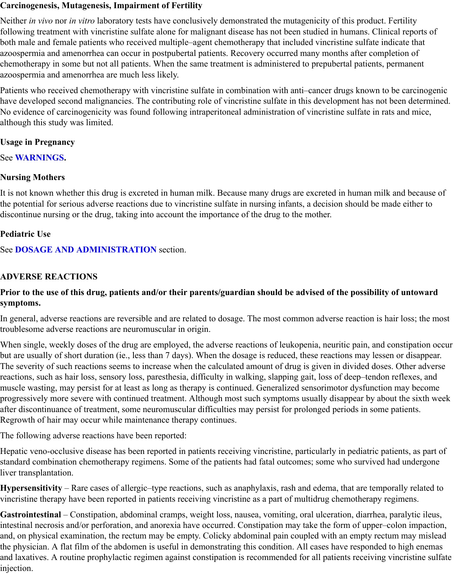#### **Carcinogenesis, Mutagenesis, Impairment of Fertility**

Neither *in vivo* nor *in vitro* laboratory tests have conclusively demonstrated the mutagenicity of this product. Fertility following treatment with vincristine sulfate alone for malignant disease has not been studied in humans. Clinical reports of both male and female patients who received multiple–agent chemotherapy that included vincristine sulfate indicate that azoospermia and amenorrhea can occur in postpubertal patients. Recovery occurred many months after completion of chemotherapy in some but not all patients. When the same treatment is administered to prepubertal patients, permanent azoospermia and amenorrhea are much less likely.

Patients who received chemotherapy with vincristine sulfate in combination with anti–cancer drugs known to be carcinogenic have developed second malignancies. The contributing role of vincristine sulfate in this development has not been determined. No evidence of carcinogenicity was found following intraperitoneal administration of vincristine sulfate in rats and mice, although this study was limited.

### **Usage in Pregnancy**

See **WARNINGS.**

### **Nursing Mothers**

It is not known whether this drug is excreted in human milk. Because many drugs are excreted in human milk and because of the potential for serious adverse reactions due to vincristine sulfate in nursing infants, a decision should be made either to discontinue nursing or the drug, taking into account the importance of the drug to the mother.

### **Pediatric Use**

See **DOSAGE AND ADMINISTRATION** section.

### **ADVERSE REACTIONS**

#### **Prior to the use of this drug, patients and/or their parents/guardian should be advised of the possibility of untoward symptoms.**

In general, adverse reactions are reversible and are related to dosage. The most common adverse reaction is hair loss; the most troublesome adverse reactions are neuromuscular in origin.

When single, weekly doses of the drug are employed, the adverse reactions of leukopenia, neuritic pain, and constipation occur but are usually of short duration (ie., less than 7 days). When the dosage is reduced, these reactions may lessen or disappear. The severity of such reactions seems to increase when the calculated amount of drug is given in divided doses. Other adverse reactions, such as hair loss, sensory loss, paresthesia, difficulty in walking, slapping gait, loss of deep–tendon reflexes, and muscle wasting, may persist for at least as long as therapy is continued. Generalized sensorimotor dysfunction may become progressively more severe with continued treatment. Although most such symptoms usually disappear by about the sixth week after discontinuance of treatment, some neuromuscular difficulties may persist for prolonged periods in some patients. Regrowth of hair may occur while maintenance therapy continues.

The following adverse reactions have been reported:

Hepatic veno-occlusive disease has been reported in patients receiving vincristine, particularly in pediatric patients, as part of standard combination chemotherapy regimens. Some of the patients had fatal outcomes; some who survived had undergone liver transplantation.

**Hypersensitivity** – Rare cases of allergic–type reactions, such as anaphylaxis, rash and edema, that are temporally related to vincristine therapy have been reported in patients receiving vincristine as a part of multidrug chemotherapy regimens.

**Gastrointestinal** – Constipation, abdominal cramps, weight loss, nausea, vomiting, oral ulceration, diarrhea, paralytic ileus, intestinal necrosis and/or perforation, and anorexia have occurred. Constipation may take the form of upper–colon impaction, and, on physical examination, the rectum may be empty. Colicky abdominal pain coupled with an empty rectum may mislead the physician. A flat film of the abdomen is useful in demonstrating this condition. All cases have responded to high enemas and laxatives. A routine prophylactic regimen against constipation is recommended for all patients receiving vincristine sulfate injection.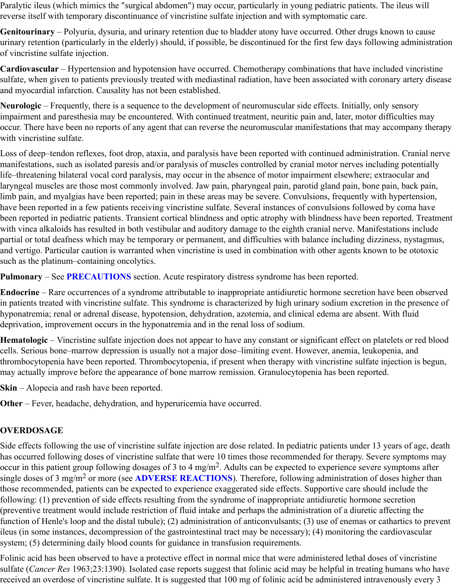Paralytic ileus (which mimics the "surgical abdomen") may occur, particularly in young pediatric patients. The ileus will reverse itself with temporary discontinuance of vincristine sulfate injection and with symptomatic care.

**Genitourinary** – Polyuria, dysuria, and urinary retention due to bladder atony have occurred. Other drugs known to cause urinary retention (particularly in the elderly) should, if possible, be discontinued for the first few days following administration of vincristine sulfate injection.

**Cardiovascular** – Hypertension and hypotension have occurred. Chemotherapy combinations that have included vincristine sulfate, when given to patients previously treated with mediastinal radiation, have been associated with coronary artery disease and myocardial infarction. Causality has not been established.

**Neurologic** – Frequently, there is a sequence to the development of neuromuscular side effects. Initially, only sensory impairment and paresthesia may be encountered. With continued treatment, neuritic pain and, later, motor difficulties may occur. There have been no reports of any agent that can reverse the neuromuscular manifestations that may accompany therapy with vincristine sulfate.

Loss of deep–tendon reflexes, foot drop, ataxia, and paralysis have been reported with continued administration. Cranial nerve manifestations, such as isolated paresis and/or paralysis of muscles controlled by cranial motor nerves including potentially life–threatening bilateral vocal cord paralysis, may occur in the absence of motor impairment elsewhere; extraocular and laryngeal muscles are those most commonly involved. Jaw pain, pharyngeal pain, parotid gland pain, bone pain, back pain, limb pain, and myalgias have been reported; pain in these areas may be severe. Convulsions, frequently with hypertension, have been reported in a few patients receiving vincristine sulfate. Several instances of convulsions followed by coma have been reported in pediatric patients. Transient cortical blindness and optic atrophy with blindness have been reported. Treatment with vinca alkaloids has resulted in both vestibular and auditory damage to the eighth cranial nerve. Manifestations include partial or total deafness which may be temporary or permanent, and difficulties with balance including dizziness, nystagmus, and vertigo. Particular caution is warranted when vincristine is used in combination with other agents known to be ototoxic such as the platinum–containing oncolytics.

**Pulmonary** – See **PRECAUTIONS** section. Acute respiratory distress syndrome has been reported.

**Endocrine** – Rare occurrences of a syndrome attributable to inappropriate antidiuretic hormone secretion have been observed in patients treated with vincristine sulfate. This syndrome is characterized by high urinary sodium excretion in the presence of hyponatremia; renal or adrenal disease, hypotension, dehydration, azotemia, and clinical edema are absent. With fluid deprivation, improvement occurs in the hyponatremia and in the renal loss of sodium.

**Hematologic** – Vincristine sulfate injection does not appear to have any constant or significant effect on platelets or red blood cells. Serious bone–marrow depression is usually not a major dose–limiting event. However, anemia, leukopenia, and thrombocytopenia have been reported. Thrombocytopenia, if present when therapy with vincristine sulfate injection is begun, may actually improve before the appearance of bone marrow remission. Granulocytopenia has been reported.

**Skin** – Alopecia and rash have been reported.

**Other** – Fever, headache, dehydration, and hyperuricemia have occurred.

# **OVERDOSAGE**

Side effects following the use of vincristine sulfate injection are dose related. In pediatric patients under 13 years of age, death has occurred following doses of vincristine sulfate that were 10 times those recommended for therapy. Severe symptoms may occur in this patient group following dosages of 3 to 4 mg/m<sup>2</sup>. Adults can be expected to experience severe symptoms after single doses of 3 mg/m<sup>2</sup> or more (see ADVERSE REACTIONS). Therefore, following administration of doses higher than those recommended, patients can be expected to experience exaggerated side effects. Supportive care should include the following: (1) prevention of side effects resulting from the syndrome of inappropriate antidiuretic hormone secretion (preventive treatment would include restriction of fluid intake and perhaps the administration of a diuretic affecting the function of Henle's loop and the distal tubule); (2) administration of anticonvulsants; (3) use of enemas or cathartics to prevent ileus (in some instances, decompression of the gastrointestinal tract may be necessary); (4) monitoring the cardiovascular system; (5) determining daily blood counts for guidance in transfusion requirements.

Folinic acid has been observed to have a protective effect in normal mice that were administered lethal doses of vincristine sulfate (*Cancer Res* 1963;23:1390). Isolated case reports suggest that folinic acid may be helpful in treating humans who have received an overdose of vincristine sulfate. It is suggested that 100 mg of folinic acid be administered intravenously every 3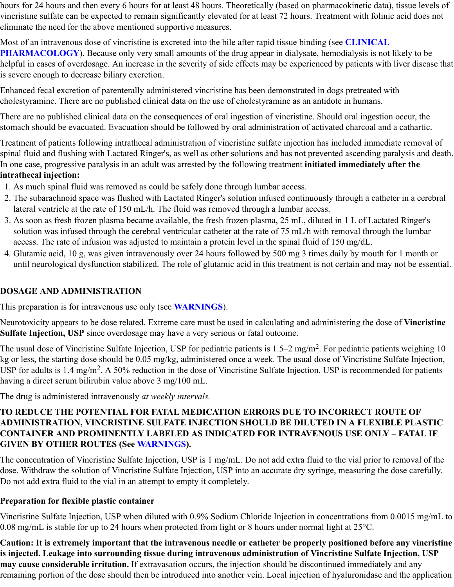hours for 24 hours and then every 6 hours for at least 48 hours. Theoretically (based on pharmacokinetic data), tissue levels of vincristine sulfate can be expected to remain significantly elevated for at least 72 hours. Treatment with folinic acid does not eliminate the need for the above mentioned supportive measures.

Most of an intravenous dose of vincristine is excreted into the bile after rapid tissue binding (see **CLINICAL PHARMACOLOGY**). Because only very small amounts of the drug appear in dialysate, hemodialysis is not likely to be helpful in cases of overdosage. An increase in the severity of side effects may be experienced by patients with liver disease that is severe enough to decrease biliary excretion.

Enhanced fecal excretion of parenterally administered vincristine has been demonstrated in dogs pretreated with cholestyramine. There are no published clinical data on the use of cholestyramine as an antidote in humans.

There are no published clinical data on the consequences of oral ingestion of vincristine. Should oral ingestion occur, the stomach should be evacuated. Evacuation should be followed by oral administration of activated charcoal and a cathartic.

Treatment of patients following intrathecal administration of vincristine sulfate injection has included immediate removal of spinal fluid and flushing with Lactated Ringer's, as well as other solutions and has not prevented ascending paralysis and death. In one case, progressive paralysis in an adult was arrested by the following treatment **initiated immediately after the intrathecal injection:**

- 1. As much spinal fluid was removed as could be safely done through lumbar access.
- 2. The subarachnoid space was flushed with Lactated Ringer's solution infused continuously through a catheter in a cerebral lateral ventricle at the rate of 150 mL/h. The fluid was removed through a lumbar access.
- 3. As soon as fresh frozen plasma became available, the fresh frozen plasma, 25 mL, diluted in 1 L of Lactated Ringer's solution was infused through the cerebral ventricular catheter at the rate of 75 mL/h with removal through the lumbar access. The rate of infusion was adjusted to maintain a protein level in the spinal fluid of 150 mg/dL.
- 4. Glutamic acid, 10 g, was given intravenously over 24 hours followed by 500 mg 3 times daily by mouth for 1 month or until neurological dysfunction stabilized. The role of glutamic acid in this treatment is not certain and may not be essential.

# **DOSAGE AND ADMINISTRATION**

This preparation is for intravenous use only (see **WARNINGS**).

Neurotoxicity appears to be dose related. Extreme care must be used in calculating and administering the dose of **Vincristine Sulfate Injection, USP** since overdosage may have a very serious or fatal outcome.

The usual dose of Vincristine Sulfate Injection, USP for pediatric patients is  $1.5-2$  mg/m<sup>2</sup>. For pediatric patients weighing 10 kg or less, the starting dose should be 0.05 mg/kg, administered once a week. The usual dose of Vincristine Sulfate Injection, USP for adults is 1.4 mg/m<sup>2</sup>. A 50% reduction in the dose of Vincristine Sulfate Injection, USP is recommended for patients having a direct serum bilirubin value above 3 mg/100 mL.

The drug is administered intravenously *at weekly intervals.*

# **TO REDUCE THE POTENTIAL FOR FATAL MEDICATION ERRORS DUE TO INCORRECT ROUTE OF ADMINISTRATION, VINCRISTINE SULFATE INJECTION SHOULD BE DILUTED IN A FLEXIBLE PLASTIC CONTAINER AND PROMINENTLY LABELED AS INDICATED FOR INTRAVENOUS USE ONLY – FATAL IF GIVEN BY OTHER ROUTES (See WARNINGS).**

The concentration of Vincristine Sulfate Injection, USP is 1 mg/mL. Do not add extra fluid to the vial prior to removal of the dose. Withdraw the solution of Vincristine Sulfate Injection, USP into an accurate dry syringe, measuring the dose carefully. Do not add extra fluid to the vial in an attempt to empty it completely.

# **Preparation for flexible plastic container**

Vincristine Sulfate Injection, USP when diluted with 0.9% Sodium Chloride Injection in concentrations from 0.0015 mg/mL to 0.08 mg/mL is stable for up to 24 hours when protected from light or 8 hours under normal light at  $25^{\circ}$ C.

**Caution: It is extremely important that the intravenous needle or catheter be properly positioned before any vincristine is injected. Leakage into surrounding tissue during intravenous administration of Vincristine Sulfate Injection, USP may cause considerable irritation.** If extravasation occurs, the injection should be discontinued immediately and any remaining portion of the dose should then be introduced into another vein. Local injection of hyaluronidase and the application